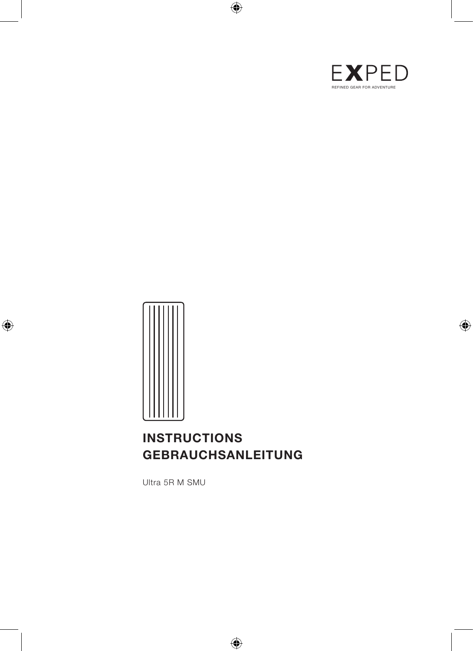



# **INSTRUCTIONS GEBRAUCHSANLEITUNG**

Ultra 5R M SMU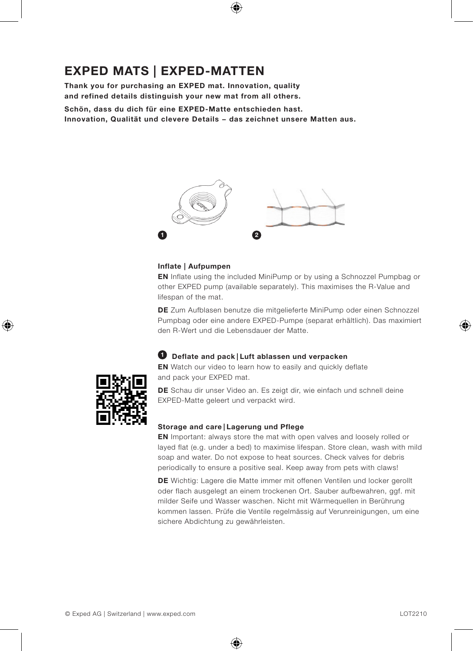# **EXPED MATS | EXPED-MATTEN**

**Thank you for purchasing an EXPED mat. Innovation, quality and refined details distinguish your new mat from all others.** 

**Schön, dass du dich für eine EXPED-Matte entschieden hast. Innovation, Qualität und clevere Details − das zeichnet unsere Matten aus.**



### **Inflate | Aufpumpen**

**EN** Inflate using the included MiniPump or by using a Schnozzel Pumpbag or other EXPED pump (available separately). This maximises the R-Value and lifespan of the mat.

**DE** Zum Aufblasen benutze die mitgelieferte MiniPump oder einen Schnozzel Pumpbag oder eine andere EXPED-Pumpe (separat erhältlich). Das maximiert den R-Wert und die Lebensdauer der Matte.

### **1 Deflate and pack | Luft ablassen und verpacken**

**EN** Watch our video to learn how to easily and quickly deflate and pack your EXPED mat.



**DE** Schau dir unser Video an. Es zeigt dir, wie einfach und schnell deine EXPED-Matte geleert und verpackt wird.

### **Storage and care | Lagerung und Pflege**

**EN** Important: always store the mat with open valves and loosely rolled or layed flat (e.g. under a bed) to maximise lifespan. Store clean, wash with mild soap and water. Do not expose to heat sources. Check valves for debris periodically to ensure a positive seal. Keep away from pets with claws!

**DE** Wichtig: Lagere die Matte immer mit offenen Ventilen und locker gerollt oder flach ausgelegt an einem trockenen Ort. Sauber aufbewahren, ggf. mit milder Seife und Wasser waschen. Nicht mit Wärmequellen in Berührung kommen lassen. Prüfe die Ventile regelmässig auf Verunreinigungen, um eine sichere Abdichtung zu gewährleisten.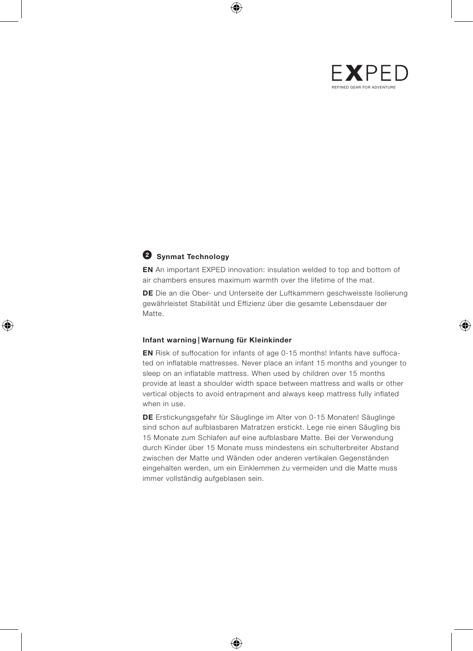

## **2 Synmat Technology**

**EN** An important EXPED innovation: insulation welded to top and bottom of air chambers ensures maximum warmth over the lifetime of the mat.

**DE** Die an die Ober- und Unterseite der Luftkammern geschweisste Isolierung gewährleistet Stabilität und Effizienz über die gesamte Lebensdauer der Matte.

#### **Infant warning | Warnung für Kleinkinder**

**EN** Risk of suffocation for infants of age 0-15 months! lnfants have suffocated on inflatable mattresses. Never place an infant 15 months and younger to sleep on an inflatable mattress. When used by children over 15 months provide at least a shoulder width space between mattress and walls or other vertical objects to avoid entrapment and always keep mattress fully inflated when in use.

**DE** Erstickungsgefahr für Säuglinge im Alter von 0-15 Monaten! Säuglinge sind schon auf aufblasbaren Matratzen erstickt. Lege nie einen Säugling bis 15 Monate zum Schlafen auf eine aufblasbare Matte. Bei der Verwendung durch Kinder über 15 Monate muss mindestens ein schulterbreiter Abstand zwischen der Matte und Wänden oder anderen vertikalen Gegenständen eingehalten werden, um ein Einklemmen zu vermeiden und die Matte muss immer vollständig aufgeblasen sein.